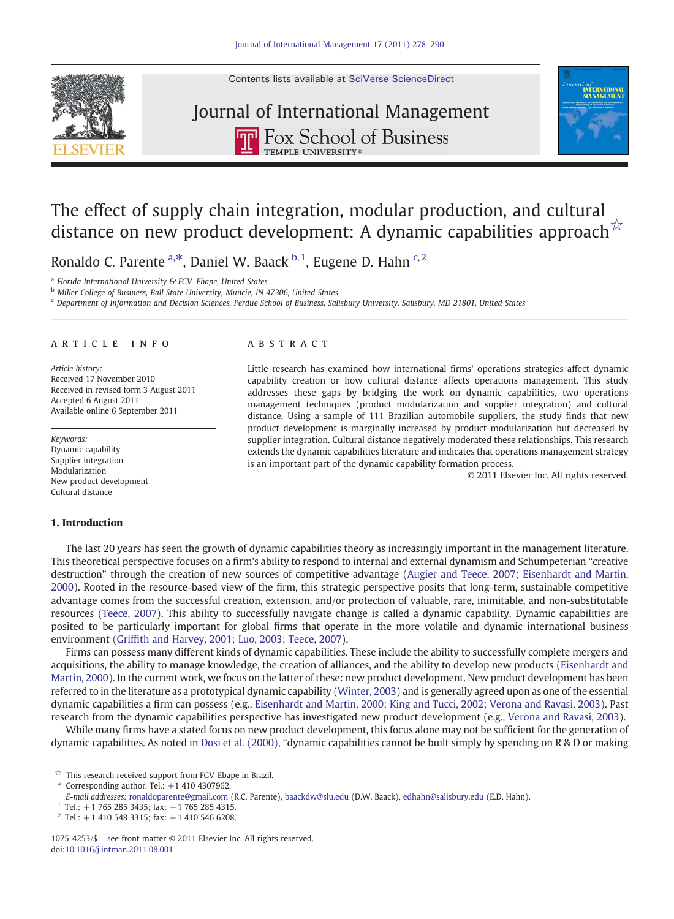



# Journal of International Management**THE ROX School of Business**



### The effect of supply chain integration, modular production, and cultural distance on new product development: A dynamic capabilities approach  $\dot{x}$

Ronaldo C. Parente  $a, *$ , Daniel W. Baack  $b, 1$ , Eugene D. Hahn  $c, 2$ 

<sup>a</sup> Florida International University & FGV–Ebape, United States

<sup>b</sup> Miller College of Business, Ball State University, Muncie, IN 47306, United States

<sup>c</sup> Department of Information and Decision Sciences, Perdue School of Business, Salisbury University, Salisbury, MD 21801, United States

#### article info abstract

Article history: Received 17 November 2010 Received in revised form 3 August 2011 Accepted 6 August 2011 Available online 6 September 2011

Keywords: Dynamic capability Supplier integration Modularization New product development Cultural distance

### 1. Introduction

Little research has examined how international firms' operations strategies affect dynamic capability creation or how cultural distance affects operations management. This study addresses these gaps by bridging the work on dynamic capabilities, two operations management techniques (product modularization and supplier integration) and cultural distance. Using a sample of 111 Brazilian automobile suppliers, the study finds that new product development is marginally increased by product modularization but decreased by supplier integration. Cultural distance negatively moderated these relationships. This research extends the dynamic capabilities literature and indicates that operations management strategy is an important part of the dynamic capability formation process.

© 2011 Elsevier Inc. All rights reserved.

The last 20 years has seen the growth of dynamic capabilities theory as increasingly important in the management literature. This theoretical perspective focuses on a firm's ability to respond to internal and external dynamism and Schumpeterian "creative destruction" through the creation of new sources of competitive advantage ([Augier and Teece, 2007; Eisenhardt and Martin,](#page--1-0) [2000](#page--1-0)). Rooted in the resource-based view of the firm, this strategic perspective posits that long-term, sustainable competitive advantage comes from the successful creation, extension, and/or protection of valuable, rare, inimitable, and non-substitutable resources ([Teece, 2007\)](#page--1-0). This ability to successfully navigate change is called a dynamic capability. Dynamic capabilities are posited to be particularly important for global firms that operate in the more volatile and dynamic international business environment (Griffi[th and Harvey, 2001; Luo, 2003; Teece, 2007\)](#page--1-0).

Firms can possess many different kinds of dynamic capabilities. These include the ability to successfully complete mergers and acquisitions, the ability to manage knowledge, the creation of alliances, and the ability to develop new products ([Eisenhardt and](#page--1-0) [Martin, 2000\)](#page--1-0). In the current work, we focus on the latter of these: new product development. New product development has been referred to in the literature as a prototypical dynamic capability ([Winter, 2003](#page--1-0)) and is generally agreed upon as one of the essential dynamic capabilities a firm can possess (e.g., [Eisenhardt and Martin, 2000; King and Tucci, 2002; Verona and Ravasi, 2003](#page--1-0)). Past research from the dynamic capabilities perspective has investigated new product development (e.g., [Verona and Ravasi, 2003](#page--1-0)).

While many firms have a stated focus on new product development, this focus alone may not be sufficient for the generation of dynamic capabilities. As noted in [Dosi et al. \(2000\),](#page--1-0) "dynamic capabilities cannot be built simply by spending on R & D or making

<sup>☆</sup> This research received support from FGV-Ebape in Brazil.

Corresponding author. Tel.:  $+1$  410 4307962.

E-mail addresses: [ronaldoparente@gmail.com](mailto:ronaldoparente@gmail.com) (R.C. Parente), [baackdw@slu.edu](mailto:baackdw@slu.edu) (D.W. Baack), [edhahn@salisbury.edu](mailto:edhahn@salisbury.edu) (E.D. Hahn).

<sup>&</sup>lt;sup>1</sup> Tel.: +1 765 285 3435; fax: +1 765 285 4315.

 $2$  Tel.: +1 410 548 3315; fax: +1 410 546 6208.

<sup>1075-4253/\$</sup> – see front matter © 2011 Elsevier Inc. All rights reserved. doi:[10.1016/j.intman.2011.08.001](http://dx.doi.org/10.1016/j.intman.2011.08.001)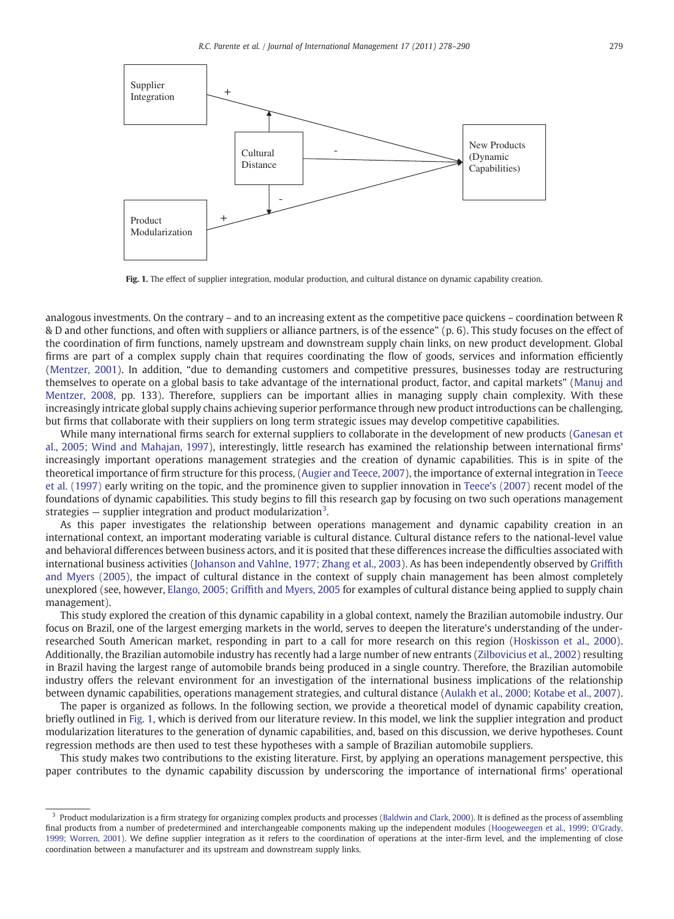

Fig. 1. The effect of supplier integration, modular production, and cultural distance on dynamic capability creation.

analogous investments. On the contrary – and to an increasing extent as the competitive pace quickens – coordination between R & D and other functions, and often with suppliers or alliance partners, is of the essence" (p. 6). This study focuses on the effect of the coordination of firm functions, namely upstream and downstream supply chain links, on new product development. Global firms are part of a complex supply chain that requires coordinating the flow of goods, services and information efficiently [\(Mentzer, 2001\)](#page--1-0). In addition, "due to demanding customers and competitive pressures, businesses today are restructuring themselves to operate on a global basis to take advantage of the international product, factor, and capital markets" ([Manuj and](#page--1-0) [Mentzer, 2008,](#page--1-0) pp. 133). Therefore, suppliers can be important allies in managing supply chain complexity. With these increasingly intricate global supply chains achieving superior performance through new product introductions can be challenging, but firms that collaborate with their suppliers on long term strategic issues may develop competitive capabilities.

While many international firms search for external suppliers to collaborate in the development of new products ([Ganesan et](#page--1-0) [al., 2005; Wind and Mahajan, 1997\)](#page--1-0), interestingly, little research has examined the relationship between international firms' increasingly important operations management strategies and the creation of dynamic capabilities. This is in spite of the theoretical importance of firm structure for this process, ([Augier and Teece, 2007](#page--1-0)), the importance of external integration in [Teece](#page--1-0) [et al. \(1997\)](#page--1-0) early writing on the topic, and the prominence given to supplier innovation in [Teece's \(2007\)](#page--1-0) recent model of the foundations of dynamic capabilities. This study begins to fill this research gap by focusing on two such operations management strategies — supplier integration and product modularization<sup>3</sup>.

As this paper investigates the relationship between operations management and dynamic capability creation in an international context, an important moderating variable is cultural distance. Cultural distance refers to the national-level value and behavioral differences between business actors, and it is posited that these differences increase the difficulties associated with international business activities [\(Johanson and Vahlne, 1977; Zhang et al., 2003\)](#page--1-0). As has been independently observed by [Grif](#page--1-0)fith [and Myers \(2005\),](#page--1-0) the impact of cultural distance in the context of supply chain management has been almost completely unexplored (see, however, Elango, 2005; Griffi[th and Myers, 2005](#page--1-0) for examples of cultural distance being applied to supply chain management).

This study explored the creation of this dynamic capability in a global context, namely the Brazilian automobile industry. Our focus on Brazil, one of the largest emerging markets in the world, serves to deepen the literature's understanding of the underresearched South American market, responding in part to a call for more research on this region ([Hoskisson et al., 2000\)](#page--1-0). Additionally, the Brazilian automobile industry has recently had a large number of new entrants [\(Zilbovicius et al., 2002\)](#page--1-0) resulting in Brazil having the largest range of automobile brands being produced in a single country. Therefore, the Brazilian automobile industry offers the relevant environment for an investigation of the international business implications of the relationship between dynamic capabilities, operations management strategies, and cultural distance [\(Aulakh et al., 2000; Kotabe et al., 2007\)](#page--1-0).

The paper is organized as follows. In the following section, we provide a theoretical model of dynamic capability creation, briefly outlined in Fig. 1, which is derived from our literature review. In this model, we link the supplier integration and product modularization literatures to the generation of dynamic capabilities, and, based on this discussion, we derive hypotheses. Count regression methods are then used to test these hypotheses with a sample of Brazilian automobile suppliers.

This study makes two contributions to the existing literature. First, by applying an operations management perspective, this paper contributes to the dynamic capability discussion by underscoring the importance of international firms' operational

<sup>&</sup>lt;sup>3</sup> Product modularization is a firm strategy for organizing complex products and processes [\(Baldwin and Clark, 2000\)](#page--1-0). It is defined as the process of assembling final products from a number of predetermined and interchangeable components making up the independent modules [\(Hoogeweegen et al., 1999; O'Grady,](#page--1-0) [1999; Worren, 2001\)](#page--1-0). We define supplier integration as it refers to the coordination of operations at the inter-firm level, and the implementing of close coordination between a manufacturer and its upstream and downstream supply links.